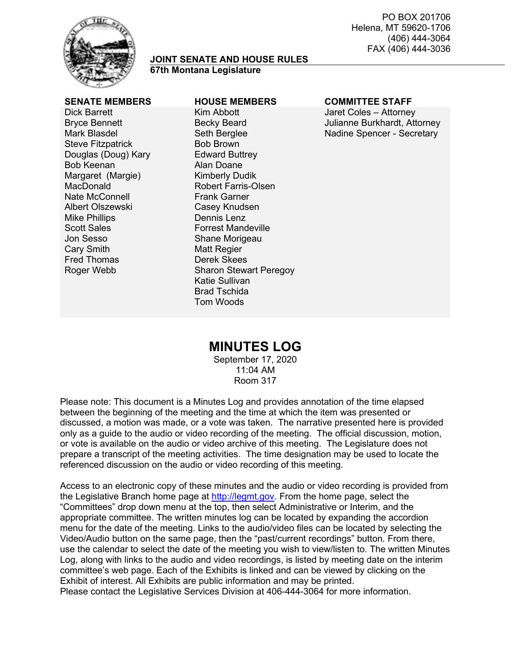

#### **JOINT SENATE AND HOUSE RULES 67th Montana Legislature**

Dick Barrett Bryce Bennett Mark Blasdel Steve Fitzpatrick Douglas (Doug) Kary Bob Keenan Margaret (Margie) MacDonald Nate McConnell Albert Olszewski Mike Phillips Scott Sales Jon Sesso Cary Smith Fred Thomas Roger Webb

#### Kim Abbott Becky Beard Seth Berglee Bob Brown Edward Buttrey Alan Doane Kimberly Dudik Robert Farris-Olsen Frank Garner Casey Knudsen Dennis Lenz Forrest Mandeville Shane Morigeau Matt Regier Derek Skees Sharon Stewart Peregoy Katie Sullivan Brad Tschida Tom Woods

#### **SENATE MEMBERS HOUSE MEMBERS COMMITTEE STAFF**

Jaret Coles – Attorney Julianne Burkhardt, Attorney Nadine Spencer - Secretary

# **MINUTES LOG**

September 17, 2020 11:04 AM Room 317

Please note: This document is a Minutes Log and provides annotation of the time elapsed between the beginning of the meeting and the time at which the item was presented or discussed, a motion was made, or a vote was taken. The narrative presented here is provided only as a guide to the audio or video recording of the meeting. The official discussion, motion, or vote is available on the audio or video archive of this meeting. The Legislature does not prepare a transcript of the meeting activities. The time designation may be used to locate the referenced discussion on the audio or video recording of this meeting.

Access to an electronic copy of these minutes and the audio or video recording is provided from the Legislative Branch home page at [http://legmt.gov.](http://legmt.gov/) From the home page, select the "Committees" drop down menu at the top, then select Administrative or Interim, and the appropriate committee. The written minutes log can be located by expanding the accordion menu for the date of the meeting. Links to the audio/video files can be located by selecting the Video/Audio button on the same page, then the "past/current recordings" button. From there, use the calendar to select the date of the meeting you wish to view/listen to. The written Minutes Log, along with links to the audio and video recordings, is listed by meeting date on the interim committee's web page. Each of the Exhibits is linked and can be viewed by clicking on the Exhibit of interest. All Exhibits are public information and may be printed.

Please contact the Legislative Services Division at 406-444-3064 for more information.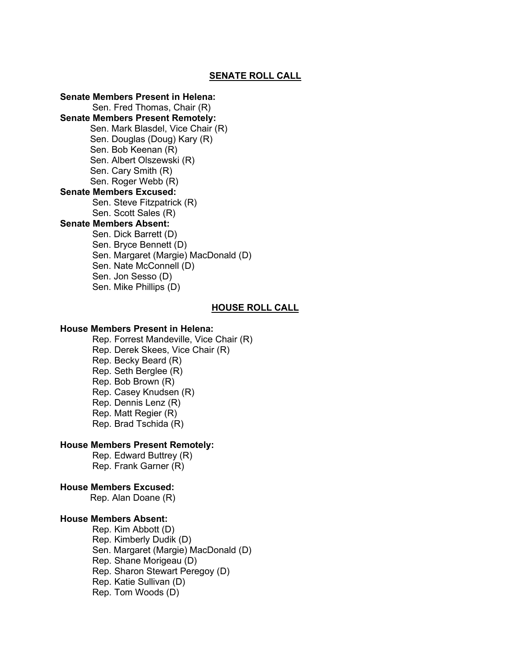#### **SENATE ROLL CALL**

**Senate Members Present in Helena:**  Sen. Fred Thomas, Chair (R) **Senate Members Present Remotely:**  Sen. Mark Blasdel, Vice Chair (R) Sen. Douglas (Doug) Kary (R) Sen. Bob Keenan (R) Sen. Albert Olszewski (R) Sen. Cary Smith (R) Sen. Roger Webb (R) **Senate Members Excused:** Sen. Steve Fitzpatrick (R) Sen. Scott Sales (R) **Senate Members Absent:**  Sen. Dick Barrett (D) Sen. Bryce Bennett (D) Sen. Margaret (Margie) MacDonald (D) Sen. Nate McConnell (D) Sen. Jon Sesso (D) Sen. Mike Phillips (D)

#### **HOUSE ROLL CALL**

#### **House Members Present in Helena:**

Rep. Forrest Mandeville, Vice Chair (R) Rep. Derek Skees, Vice Chair (R) Rep. Becky Beard (R) Rep. Seth Berglee (R) Rep. Bob Brown (R) Rep. Casey Knudsen (R) Rep. Dennis Lenz (R) Rep. Matt Regier (R) Rep. Brad Tschida (R)

## **House Members Present Remotely:**

Rep. Edward Buttrey (R) Rep. Frank Garner (R)

#### **House Members Excused:**

Rep. Alan Doane (R)

# **House Members Absent:**

Rep. Kim Abbott (D) Rep. Kimberly Dudik (D) Sen. Margaret (Margie) MacDonald (D) Rep. Shane Morigeau (D) Rep. Sharon Stewart Peregoy (D) Rep. Katie Sullivan (D) Rep. Tom Woods (D)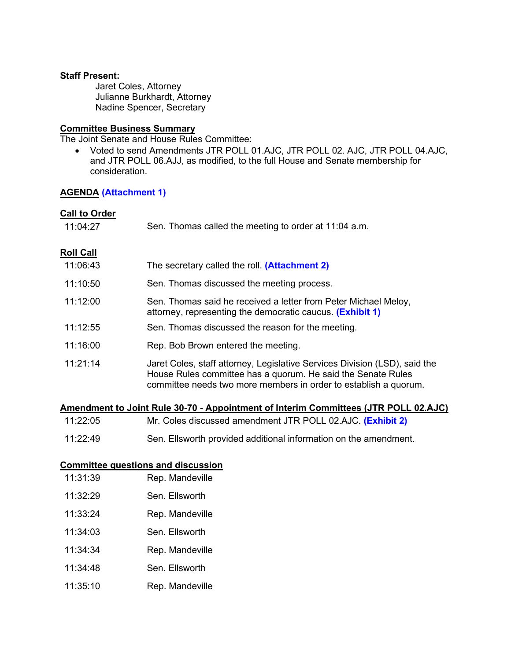#### **Staff Present:**

Jaret Coles, Attorney Julianne Burkhardt, Attorney Nadine Spencer, Secretary

#### **Committee Business Summary**

The Joint Senate and House Rules Committee:

• Voted to send Amendments JTR POLL 01.AJC, JTR POLL 02. AJC, JTR POLL 04.AJC, and JTR POLL 06.AJJ, as modified, to the full House and Senate membership for consideration.

## **AGENDA [\(Attachment 1\)](https://leg.mt.gov/content/Committees/Administration/Legislative-Council/2019-20/Meetings/JRules9-17/Agenda9-17.pdf)**

#### **Call to Order**

| 11:04:27         | Sen. Thomas called the meeting to order at 11:04 a.m.                                                                                                                                                          |
|------------------|----------------------------------------------------------------------------------------------------------------------------------------------------------------------------------------------------------------|
| <b>Roll Call</b> |                                                                                                                                                                                                                |
| 11:06:43         | The secretary called the roll. ( <b>Attachment 2)</b>                                                                                                                                                          |
| 11:10:50         | Sen. Thomas discussed the meeting process.                                                                                                                                                                     |
| 11:12:00         | Sen. Thomas said he received a letter from Peter Michael Meloy,<br>attorney, representing the democratic caucus. (Exhibit 1)                                                                                   |
| 11:12:55         | Sen. Thomas discussed the reason for the meeting.                                                                                                                                                              |
| 11:16:00         | Rep. Bob Brown entered the meeting.                                                                                                                                                                            |
| 11:21:14         | Jaret Coles, staff attorney, Legislative Services Division (LSD), said the<br>House Rules committee has a quorum. He said the Senate Rules<br>committee needs two more members in order to establish a quorum. |

|          | Amendment to Joint Rule 30-70 - Appointment of Interim Committees (JTR POLL 02.AJC) |
|----------|-------------------------------------------------------------------------------------|
| 11:22:05 | Mr. Coles discussed amendment JTR POLL 02.AJC. (Exhibit 2)                          |

11:22:49 Sen. Ellsworth provided additional information on the amendment.

## **Committee questions and discussion**

- 11:31:39 Rep. Mandeville
- 11:32:29 Sen. Ellsworth
- 11:33:24 Rep. Mandeville
- 11:34:03 Sen. Ellsworth
- 11:34:34 Rep. Mandeville
- 11:34:48 Sen. Ellsworth
- 11:35:10 Rep. Mandeville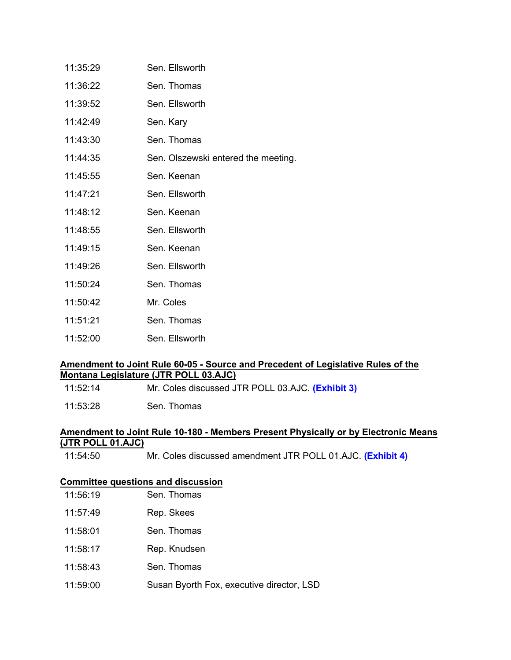| 11:35:29 | Sen. Ellsworth                      |
|----------|-------------------------------------|
| 11:36:22 | Sen. Thomas                         |
| 11:39:52 | Sen. Ellsworth                      |
| 11:42:49 | Sen. Kary                           |
| 11:43:30 | Sen. Thomas                         |
| 11:44:35 | Sen. Olszewski entered the meeting. |
| 11:45:55 | Sen. Keenan                         |
| 11:47:21 | Sen. Ellsworth                      |
| 11:48:12 | Sen. Keenan                         |
| 11:48:55 | Sen. Ellsworth                      |
| 11:49:15 | Sen. Keenan                         |
| 11:49:26 | Sen. Ellsworth                      |
| 11:50:24 | Sen. Thomas                         |
| 11:50:42 | Mr. Coles                           |
| 11:51:21 | Sen. Thomas                         |
| 11:52:00 | Sen. Ellsworth                      |

## **Amendment to Joint Rule 60-05 - Source and Precedent of Legislative Rules of the Montana Legislature (JTR POLL 03.AJC)**

| 11:52:14 | Mr. Coles discussed JTR POLL 03.AJC. (Exhibit 3) |  |
|----------|--------------------------------------------------|--|
|----------|--------------------------------------------------|--|

11:53:28 Sen. Thomas

## **Amendment to Joint Rule 10-180 - Members Present Physically or by Electronic Means (JTR POLL 01.AJC)**

11:54:50 Mr. Coles discussed amendment JTR POLL 01.AJC. **[\(Exhibit 4\)](https://leg.mt.gov/content/Committees/Administration/Legislative-Council/2019-20/Meetings/JRules9-17/JT-Poll-1-remote-FINAL.pdf)**

## **Committee questions and discussion**

| 11:56:19 | Sen. Thomas |
|----------|-------------|
|          |             |

- 11:57:49 Rep. Skees
- 11:58:01 Sen. Thomas
- 11:58:17 Rep. Knudsen
- 11:58:43 Sen. Thomas
- 11:59:00 Susan Byorth Fox, executive director, LSD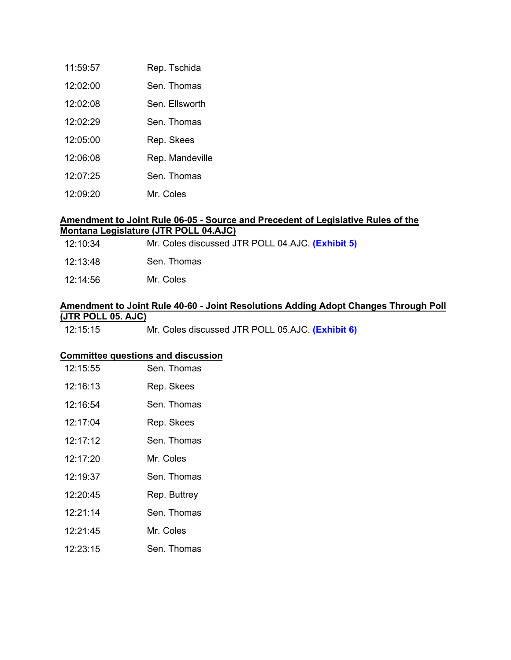| 11:59:57 | Rep. Tschida    |
|----------|-----------------|
| 12:02:00 | Sen Thomas      |
| 12:02:08 | Sen Fllsworth   |
| 12:02:29 | Sen Thomas      |
| 12:05:00 | Rep. Skees      |
| 12:06:08 | Rep. Mandeville |
| 12:07:25 | Sen. Thomas     |
| 12:09:20 | Mr. Coles       |

## **Amendment to Joint Rule 06-05 - Source and Precedent of Legislative Rules of the Montana Legislature (JTR POLL 04.AJC)**

| 12:10:34 | Mr. Coles discussed JTR POLL 04.AJC. (Exhibit 5) |  |
|----------|--------------------------------------------------|--|
|          |                                                  |  |

- 12:13:48 Sen. Thomas
- 12:14:56 Mr. Coles

#### **Amendment to Joint Rule 40-60 - Joint Resolutions Adding Adopt Changes Through Poll (JTR POLL 05. AJC)**

12:15:15 Mr. Coles discussed JTR POLL 05.AJC. **[\(Exhibit 6\)](https://leg.mt.gov/content/Committees/Administration/Legislative-Council/2019-20/Meetings/JRules9-17/JT-Poll-5-resolutions-by-poll-FINAL.pdf)**

# **Committee questions and discussion**

| 12.15:55 | Sen Thomas   |
|----------|--------------|
| 12:16:13 | Rep. Skees   |
| 12:16:54 | Sen Thomas   |
| 12:17:04 | Rep. Skees   |
| 12.17.12 | Sen. Thomas  |
| 12:17:20 | Mr. Coles    |
| 12.19.37 | Sen Thomas   |
| 12:20:45 | Rep. Buttrey |
| 12.21.14 | Sen Thomas   |
| 12.21.45 | Mr. Coles    |
| 12:23:15 | Sen. Thomas  |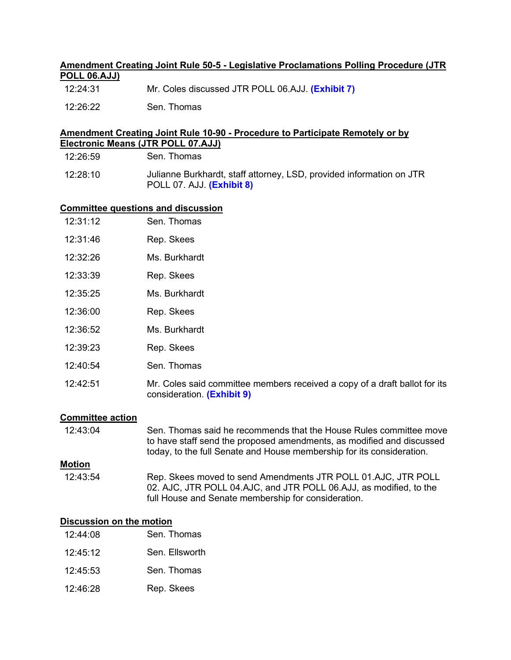# **Amendment Creating Joint Rule 50-5 - Legislative Proclamations Polling Procedure (JTR POLL 06.AJJ)**

- 12:24:31 Mr. Coles discussed JTR POLL 06.AJJ. **[\(Exhibit](https://leg.mt.gov/content/Committees/Administration/Legislative-Council/2019-20/Meetings/JRules9-17/JT-Poll-6-proclamation-FINAL.pdf) 7)**
- 12:26:22 Sen. Thomas

#### **Amendment Creating Joint Rule 10-90 - Procedure to Participate Remotely or by Electronic Means (JTR POLL 07.AJJ)**

| 12:26:59 | Sen. Thomas |
|----------|-------------|
|          |             |

12:28:10 Julianne Burkhardt, staff attorney, LSD, provided information on JTR POLL 07. AJJ. **[\(Exhibit](https://leg.mt.gov/content/Committees/Administration/Legislative-Council/2019-20/Meetings/JRules9-17/JT-Poll-7-Leg-attendance-panel-FINAL.pdf) 8)**

#### **Committee questions and discussion** Con Thomas

| 12.31.12 | Sen. Thomas                                                                                              |
|----------|----------------------------------------------------------------------------------------------------------|
| 12:31:46 | Rep. Skees                                                                                               |
| 12:32:26 | Ms. Burkhardt                                                                                            |
| 12:33:39 | Rep. Skees                                                                                               |
| 12:35:25 | Ms. Burkhardt                                                                                            |
| 12:36:00 | Rep. Skees                                                                                               |
| 12:36:52 | Ms. Burkhardt                                                                                            |
| 12:39:23 | Rep. Skees                                                                                               |
| 12:40:54 | Sen. Thomas                                                                                              |
| 12:42:51 | Mr. Coles said committee members received a copy of a draft ballot for its<br>consideration. (Exhibit 9) |

# **Committee action**

| 12:43:04      | Sen. Thomas said he recommends that the House Rules committee move<br>to have staff send the proposed amendments, as modified and discussed<br>today, to the full Senate and House membership for its consideration. |
|---------------|----------------------------------------------------------------------------------------------------------------------------------------------------------------------------------------------------------------------|
| <b>Motion</b> |                                                                                                                                                                                                                      |
| 12:43:54      | Rep. Skees moved to send Amendments JTR POLL 01.AJC, JTR POLL<br>02. AJC, JTR POLL 04.AJC, and JTR POLL 06.AJJ, as modified, to the<br>full House and Senate membership for consideration.                           |

## **Discussion on the motion**

| 12:44:08 | Sen. Thomas    |
|----------|----------------|
| 12:45:12 | Sen. Ellsworth |
| 12.45.53 | Sen. Thomas    |
| 12:46:28 | Rep. Skees     |